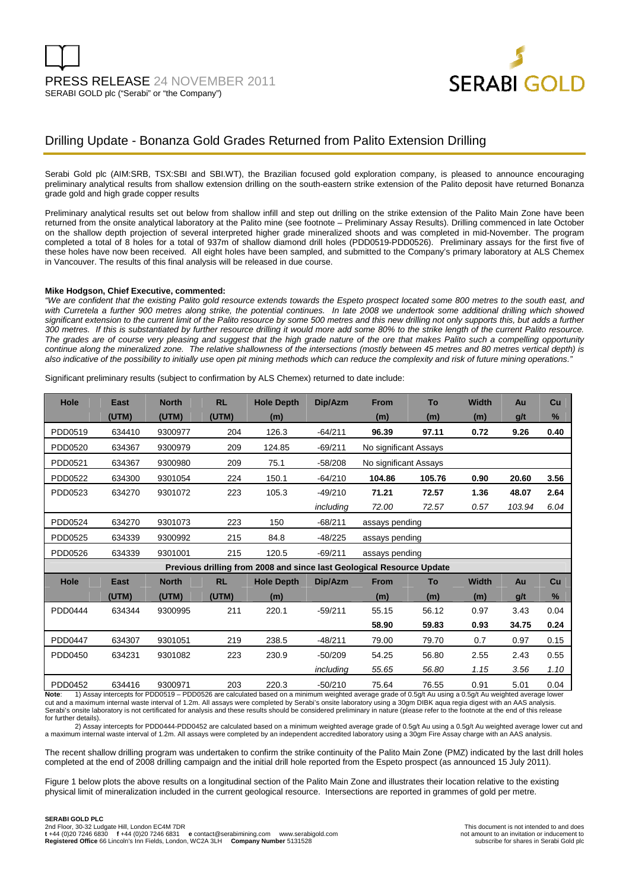

# Drilling Update - Bonanza Gold Grades Returned from Palito Extension Drilling

Serabi Gold plc (AIM:SRB, TSX:SBI and SBI.WT), the Brazilian focused gold exploration company, is pleased to announce encouraging preliminary analytical results from shallow extension drilling on the south-eastern strike extension of the Palito deposit have returned Bonanza grade gold and high grade copper results

Preliminary analytical results set out below from shallow infill and step out drilling on the strike extension of the Palito Main Zone have been returned from the onsite analytical laboratory at the Palito mine (see footnote – Preliminary Assay Results). Drilling commenced in late October on the shallow depth projection of several interpreted higher grade mineralized shoots and was completed in mid-November. The program completed a total of 8 holes for a total of 937m of shallow diamond drill holes (PDD0519-PDD0526). Preliminary assays for the first five of these holes have now been received. All eight holes have been sampled, and submitted to the Company's primary laboratory at ALS Chemex in Vancouver. The results of this final analysis will be released in due course.

### **Mike Hodgson, Chief Executive, commented:**

"We are confident that the existing Palito gold resource extends towards the Espeto prospect located some 800 metres to the south east, and with Curretela a further 900 metres along strike, the potential continues. In late 2008 we undertook some additional drilling which showed significant extension to the current limit of the Palito resource by some 500 metres and this new drilling not only supports this, but adds a further 300 metres. If this is substantiated by further resource drilling it would more add some 80% to the strike length of the current Palito resource. The grades are of course very pleasing and suggest that the high grade nature of the ore that makes Palito such a compelling opportunity continue along the mineralized zone. The relative shallowness of the intersections (mostly between 45 metres and 80 metres vertical depth) is also indicative of the possibility to initially use open pit mining methods which can reduce the complexity and risk of future mining operations."

Significant preliminary results (subject to confirmation by ALS Chemex) returned to date include:

| Hole                                                                  | East        | <b>North</b> | <b>RL</b> | <b>Hole Depth</b> | Dip/Azm   | <b>From</b>           | To     | <b>Width</b> | Au     | Cu            |
|-----------------------------------------------------------------------|-------------|--------------|-----------|-------------------|-----------|-----------------------|--------|--------------|--------|---------------|
|                                                                       | (UTM)       | (UTM)        | (UTM)     | (m)               |           | (m)                   | (m)    | (m)          | g/t    | %             |
| PDD0519                                                               | 634410      | 9300977      | 204       | 126.3             | $-64/211$ | 96.39                 | 97.11  | 0.72         | 9.26   | 0.40          |
| PDD0520                                                               | 634367      | 9300979      | 209       | 124.85            | $-69/211$ | No significant Assays |        |              |        |               |
| PDD0521                                                               | 634367      | 9300980      | 209       | 75.1              | $-58/208$ | No significant Assays |        |              |        |               |
| PDD0522                                                               | 634300      | 9301054      | 224       | 150.1             | $-64/210$ | 104.86                | 105.76 | 0.90         | 20.60  | 3.56          |
| PDD0523                                                               | 634270      | 9301072      | 223       | 105.3             | $-49/210$ | 71.21                 | 72.57  | 1.36         | 48.07  | 2.64          |
|                                                                       |             |              |           |                   | including | 72.00                 | 72.57  | 0.57         | 103.94 | 6.04          |
| PDD0524                                                               | 634270      | 9301073      | 223       | 150               | $-68/211$ | assays pending        |        |              |        |               |
| PDD0525                                                               | 634339      | 9300992      | 215       | 84.8              | $-48/225$ | assays pending        |        |              |        |               |
| PDD0526                                                               | 634339      | 9301001      | 215       | 120.5             | $-69/211$ | assays pending        |        |              |        |               |
| Previous drilling from 2008 and since last Geological Resource Update |             |              |           |                   |           |                       |        |              |        |               |
| Hole                                                                  | <b>East</b> | <b>North</b> | <b>RL</b> | <b>Hole Depth</b> | Dip/Azm   | <b>From</b>           | To     | <b>Width</b> | Au     | Cu            |
|                                                                       | (UTM)       | (UTM)        | (UTM)     | (m)               |           | (m)                   | (m)    | (m)          | g/t    | $\frac{9}{6}$ |
| PDD0444                                                               | 634344      | 9300995      | 211       | 220.1             | $-59/211$ | 55.15                 | 56.12  | 0.97         | 3.43   | 0.04          |
|                                                                       |             |              |           |                   |           | 58.90                 | 59.83  | 0.93         | 34.75  | 0.24          |
| <b>PDD0447</b>                                                        | 634307      | 9301051      | 219       | 238.5             | $-48/211$ | 79.00                 | 79.70  | 0.7          | 0.97   | 0.15          |
| PDD0450                                                               | 634231      | 9301082      | 223       | 230.9             | $-50/209$ | 54.25                 | 56.80  | 2.55         | 2.43   | 0.55          |
|                                                                       |             |              |           |                   | including | 55.65                 | 56.80  | 1.15         | 3.56   | 1.10          |
| PDD0452                                                               | 634416      | 9300971      | 203       | 220.3             | $-50/210$ | 75.64                 | 76.55  | 0.91         | 5.01   | 0.04          |

**Note**: 1) Assay intercepts for PDD0519 – PDD0526 are calculated based on a minimum weighted average grade of 0.5g/t Au using a 0.5g/t Au weighted average lower cut and a maximum internal waste interval of 1.2m. All assays were completed by Serabi's onsite laboratory using a 30gm DIBK aqua regia digest with an AAS analysis. Serabi's onsite laboratory is not certificated for analysis and these results should be considered preliminary in nature (please refer to the footnote at the end of this release for further details).

 2) Assay intercepts for PDD0444-PDD0452 are calculated based on a minimum weighted average grade of 0.5g/t Au using a 0.5g/t Au weighted average lower cut and a maximum internal waste interval of 1.2m. All assavs were completed by an independent accredited laboratory using a 30gm Fire Assay charge with an AAS analysis.

The recent shallow drilling program was undertaken to confirm the strike continuity of the Palito Main Zone (PMZ) indicated by the last drill holes completed at the end of 2008 drilling campaign and the initial drill hole reported from the Espeto prospect (as announced 15 July 2011).

Figure 1 below plots the above results on a longitudinal section of the Palito Main Zone and illustrates their location relative to the existing physical limit of mineralization included in the current geological resource. Intersections are reported in grammes of gold per metre.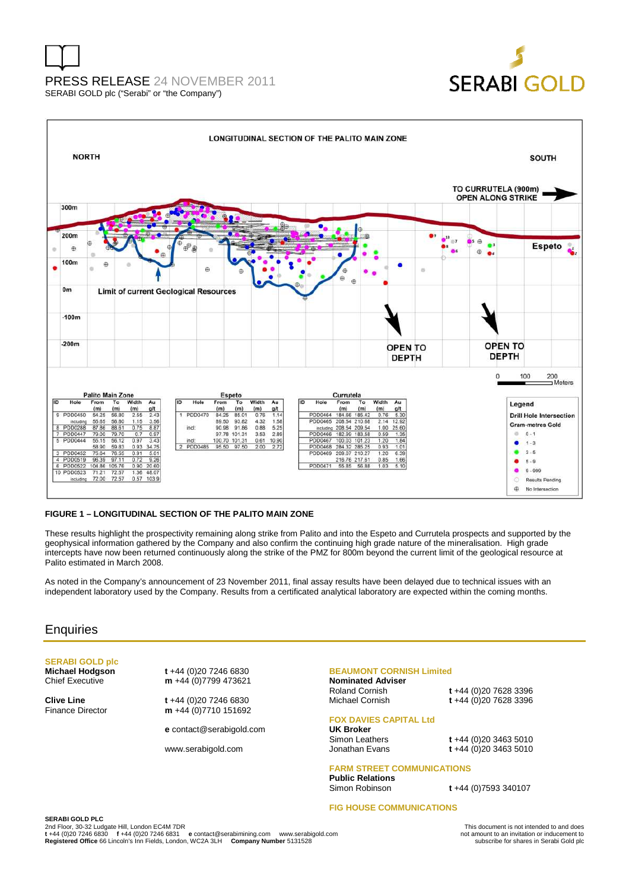





## **FIGURE 1 – LONGITUDINAL SECTION OF THE PALITO MAIN ZONE**

These results highlight the prospectivity remaining along strike from Palito and into the Espeto and Currutela prospects and supported by the geophysical information gathered by the Company and also confirm the continuing high grade nature of the mineralisation. High grade intercepts have now been returned continuously along the strike of the PMZ for 800m beyond the current limit of the geological resource at Palito estimated in March 2008.

As noted in the Company's announcement of 23 November 2011, final assay results have been delayed due to technical issues with an independent laboratory used by the Company. Results from a certificated analytical laboratory are expected within the coming months.

## **Enquiries**

# **SERABI GOLD plc**

**Michael Hodgson t** +44 (0)20 7246 6830<br>Chief Executive **m** +44 (0)7799 473621 m +44 (0)7799 473621

**Clive Line** t +44 (0)20 7246 6830<br>Finance Director **m** +44 (0)7710 151692 m +44 (0)7710 151692

**e** contact@serabigold.com

www.serabigold.com

## **BEAUMONT CORNISH Limited**

**Nominated Adviser** 

Roland Cornish **t** +44 (0)20 7628 3396 Michael Cornish **t** +44 (0)20 7628 3396

# **FOX DAVIES CAPITAL Ltd UK Broker**

Simon Leathers **t** +44 (0)20 3463 5010 Jonathan Evans **t** +44 (0)20 3463 5010

**FARM STREET COMMUNICATIONS Public Relations** 

Simon Robinson **t** +44 (0)7593 340107

### **FIG HOUSE COMMUNICATIONS**

**SERABI GOLD PLC**  2nd Floor, 30-32 Ludgate Hill, London EC4M 7DR<br>t +44 (0)20 7246 6830 f +44 (0)20 7246 6831 e contact@serabimining.com www.serabigold.com not amount to an invitation or inducement to **Registered Office** 66 Lincoln's Inn Fields, London, WC2A 3LH **Company Number** 5131528